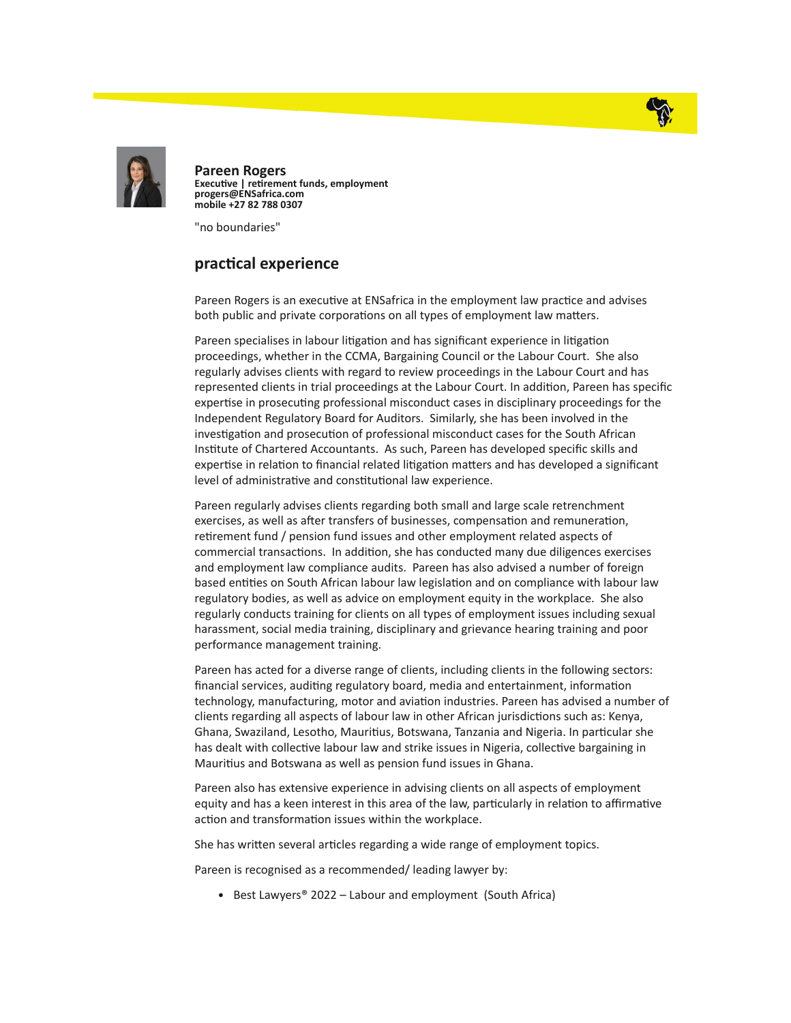



Pareen Rogers Executive | retirement funds, employment progers@ENSafrica.com mobile +27 82 788 0307

"no boundaries"

## practical experience

Pareen Rogers is an executive at ENSafrica in the employment law practice and advises both public and private corporations on all types of employment law matters.

Pareen specialises in labour litigation and has significant experience in litigation proceedings, whether in the CCMA, Bargaining Council or the Labour Court. She also regularly advises clients with regard to review proceedings in the Labour Court and has represented clients in trial proceedings at the Labour Court. In addition, Pareen has specific expertise in prosecuting professional misconduct cases in disciplinary proceedings for the Independent Regulatory Board for Auditors. Similarly, she has been involved in the investigation and prosecution of professional misconduct cases for the South African Institute of Chartered Accountants. As such, Pareen has developed specific skills and expertise in relation to financial related litigation matters and has developed a significant level of administrative and constitutional law experience.

Pareen regularly advises clients regarding both small and large scale retrenchment exercises, as well as after transfers of businesses, compensation and remuneration, retirement fund / pension fund issues and other employment related aspects of commercial transactions. In addition, she has conducted many due diligences exercises and employment law compliance audits. Pareen has also advised a number of foreign based entities on South African labour law legislation and on compliance with labour law regulatory bodies, as well as advice on employment equity in the workplace. She also regularly conducts training for clients on all types of employment issues including sexual harassment, social media training, disciplinary and grievance hearing training and poor performance management training.

Pareen has acted for a diverse range of clients, including clients in the following sectors: financial services, auditing regulatory board, media and entertainment, information technology, manufacturing, motor and aviation industries. Pareen has advised a number of clients regarding all aspects of labour law in other African jurisdictions such as: Kenya, Ghana, Swaziland, Lesotho, Mauritius, Botswana, Tanzania and Nigeria. In particular she has dealt with collective labour law and strike issues in Nigeria, collective bargaining in Mauritius and Botswana as well as pension fund issues in Ghana.

Pareen also has extensive experience in advising clients on all aspects of employment equity and has a keen interest in this area of the law, particularly in relation to affirmative action and transformation issues within the workplace.

She has written several articles regarding a wide range of employment topics.

Pareen is recognised as a recommended/ leading lawyer by:

■ Best Lawyers® 2022 – Labour and employment (South Africa)